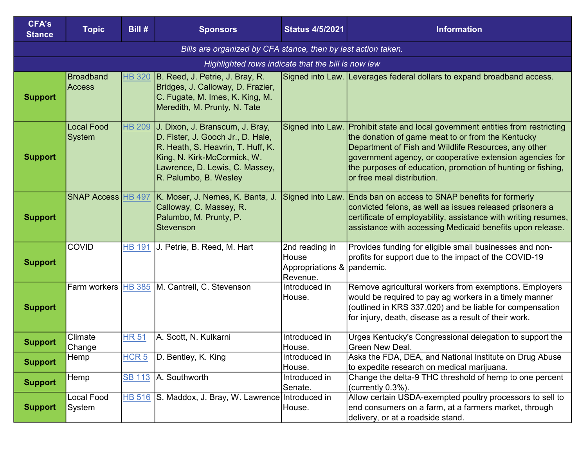| <b>CFA's</b><br><b>Stance</b> | <b>Topic</b>                      | Bill #           | <b>Sponsors</b>                                                                                                                                                                                     | <b>Status 4/5/2021</b>                                            | <b>Information</b>                                                                                                                                                                                                                                                                                                                                   |
|-------------------------------|-----------------------------------|------------------|-----------------------------------------------------------------------------------------------------------------------------------------------------------------------------------------------------|-------------------------------------------------------------------|------------------------------------------------------------------------------------------------------------------------------------------------------------------------------------------------------------------------------------------------------------------------------------------------------------------------------------------------------|
|                               |                                   |                  | Bills are organized by CFA stance, then by last action taken.                                                                                                                                       |                                                                   |                                                                                                                                                                                                                                                                                                                                                      |
|                               |                                   |                  | Highlighted rows indicate that the bill is now law                                                                                                                                                  |                                                                   |                                                                                                                                                                                                                                                                                                                                                      |
| <b>Support</b>                | <b>Broadband</b><br><b>Access</b> | <b>HB 320</b>    | B. Reed, J. Petrie, J. Bray, R.<br>Bridges, J. Calloway, D. Frazier,<br>C. Fugate, M. Imes, K. King, M.<br>Meredith, M. Prunty, N. Tate                                                             |                                                                   | Signed into Law. Leverages federal dollars to expand broadband access.                                                                                                                                                                                                                                                                               |
| <b>Support</b>                | <b>Local Food</b><br>System       | <b>HB 209</b>    | J. Dixon, J. Branscum, J. Bray,<br>D. Fister, J. Gooch Jr., D. Hale,<br>R. Heath, S. Heavrin, T. Huff, K.<br>King, N. Kirk-McCormick, W.<br>Lawrence, D. Lewis, C. Massey,<br>R. Palumbo, B. Wesley |                                                                   | Signed into Law. Prohibit state and local government entities from restricting<br>the donation of game meat to or from the Kentucky<br>Department of Fish and Wildlife Resources, any other<br>government agency, or cooperative extension agencies for<br>the purposes of education, promotion of hunting or fishing,<br>or free meal distribution. |
| <b>Support</b>                | <b>SNAP Access HB 497</b>         |                  | K. Moser, J. Nemes, K. Banta, J.<br>Calloway, C. Massey, R.<br>Palumbo, M. Prunty, P.<br><b>Stevenson</b>                                                                                           | Signed into Law.                                                  | Ends ban on access to SNAP benefits for formerly<br>convicted felons, as well as issues released prisoners a<br>certificate of employability, assistance with writing resumes,<br>assistance with accessing Medicaid benefits upon release.                                                                                                          |
| <b>Support</b>                | <b>COVID</b>                      | <b>HB 191</b>    | J. Petrie, B. Reed, M. Hart                                                                                                                                                                         | 2nd reading in<br>House<br>Appropriations & pandemic.<br>Revenue. | Provides funding for eligible small businesses and non-<br>profits for support due to the impact of the COVID-19                                                                                                                                                                                                                                     |
| <b>Support</b>                |                                   |                  | Farm workers HB 385 M. Cantrell, C. Stevenson                                                                                                                                                       | Introduced in<br>House.                                           | Remove agricultural workers from exemptions. Employers<br>would be required to pay ag workers in a timely manner<br>(outlined in KRS 337.020) and be liable for compensation<br>for injury, death, disease as a result of their work.                                                                                                                |
| <b>Support</b>                | Climate<br>Change                 | <b>HR 51</b>     | A. Scott, N. Kulkarni                                                                                                                                                                               | Introduced in<br>House.                                           | Urges Kentucky's Congressional delegation to support the<br>Green New Deal.                                                                                                                                                                                                                                                                          |
| <b>Support</b>                | Hemp                              | HCR <sub>5</sub> | D. Bentley, K. King                                                                                                                                                                                 | Introduced in<br>House.                                           | Asks the FDA, DEA, and National Institute on Drug Abuse<br>to expedite research on medical marijuana.                                                                                                                                                                                                                                                |
| <b>Support</b>                | Hemp                              | <b>SB 113</b>    | A. Southworth                                                                                                                                                                                       | Introduced in<br> Senate.                                         | Change the delta-9 THC threshold of hemp to one percent<br>(currently 0.3%).                                                                                                                                                                                                                                                                         |
| <b>Support</b>                | Local Food<br>System              | <b>HB 516</b>    | S. Maddox, J. Bray, W. Lawrence Introduced in                                                                                                                                                       | House.                                                            | Allow certain USDA-exempted poultry processors to sell to<br>end consumers on a farm, at a farmers market, through<br>delivery, or at a roadside stand.                                                                                                                                                                                              |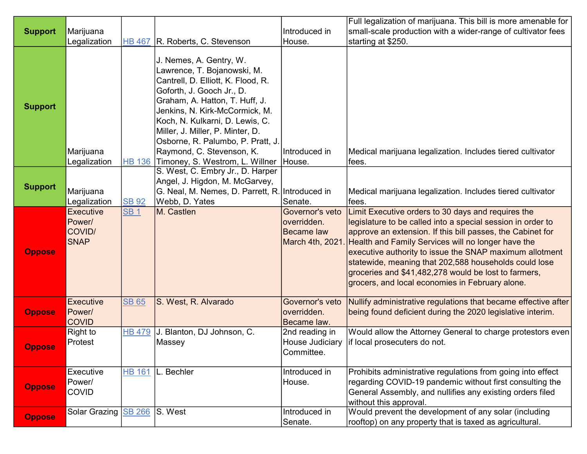|                |                  |               |                                                 |                   | Full legalization of marijuana. This bill is more amenable for |
|----------------|------------------|---------------|-------------------------------------------------|-------------------|----------------------------------------------------------------|
| <b>Support</b> | Marijuana        |               |                                                 | Introduced in     | small-scale production with a wider-range of cultivator fees   |
|                | Legalization     |               | HB 467 R. Roberts, C. Stevenson                 | House.            | starting at \$250.                                             |
|                |                  |               |                                                 |                   |                                                                |
|                |                  |               | J. Nemes, A. Gentry, W.                         |                   |                                                                |
|                |                  |               | Lawrence, T. Bojanowski, M.                     |                   |                                                                |
|                |                  |               | Cantrell, D. Elliott, K. Flood, R.              |                   |                                                                |
|                |                  |               | Goforth, J. Gooch Jr., D.                       |                   |                                                                |
| <b>Support</b> |                  |               | Graham, A. Hatton, T. Huff, J.                  |                   |                                                                |
|                |                  |               |                                                 |                   |                                                                |
|                |                  |               | Jenkins, N. Kirk-McCormick, M.                  |                   |                                                                |
|                |                  |               | Koch, N. Kulkarni, D. Lewis, C.                 |                   |                                                                |
|                |                  |               | Miller, J. Miller, P. Minter, D.                |                   |                                                                |
|                |                  |               | Osborne, R. Palumbo, P. Pratt, J.               |                   |                                                                |
|                | Marijuana        |               | Raymond, C. Stevenson, K.                       | Introduced in     | Medical marijuana legalization. Includes tiered cultivator     |
|                | Legalization     | <b>HB 136</b> | Timoney, S. Westrom, L. Willner                 | House.            | fees.                                                          |
|                |                  |               | S. West, C. Embry Jr., D. Harper                |                   |                                                                |
| <b>Support</b> |                  |               | Angel, J. Higdon, M. McGarvey,                  |                   |                                                                |
|                | Marijuana        |               | G. Neal, M. Nemes, D. Parrett, R. Introduced in |                   | Medical marijuana legalization. Includes tiered cultivator     |
|                | Legalization     | <b>SB 92</b>  | Webb, D. Yates                                  | Senate.           | ∣fees.                                                         |
|                | <b>Executive</b> | <b>SB1</b>    | M. Castlen                                      | Governor's veto   | Limit Executive orders to 30 days and requires the             |
|                | Power/           |               |                                                 | overridden.       | legislature to be called into a special session in order to    |
|                | COVID/           |               |                                                 | <b>Became law</b> | approve an extension. If this bill passes, the Cabinet for     |
|                | <b>SNAP</b>      |               |                                                 | March 4th, 2021.  | Health and Family Services will no longer have the             |
| <b>Oppose</b>  |                  |               |                                                 |                   | executive authority to issue the SNAP maximum allotment        |
|                |                  |               |                                                 |                   | statewide, meaning that 202,588 households could lose          |
|                |                  |               |                                                 |                   | groceries and \$41,482,278 would be lost to farmers,           |
|                |                  |               |                                                 |                   | grocers, and local economies in February alone.                |
|                |                  |               |                                                 |                   |                                                                |
| <b>Oppose</b>  | <b>Executive</b> | <b>SB 65</b>  | S. West, R. Alvarado                            | Governor's veto   | Nullify administrative regulations that became effective after |
|                | Power/           |               |                                                 | overridden.       | being found deficient during the 2020 legislative interim.     |
|                | <b>COVID</b>     |               |                                                 | Became law.       |                                                                |
|                | <b>Right to</b>  | <b>HB 479</b> | J. Blanton, DJ Johnson, C.                      | 2nd reading in    | Would allow the Attorney General to charge protestors even     |
| <b>Oppose</b>  | Protest          |               | Massey                                          | House Judiciary   | if local prosecuters do not.                                   |
|                |                  |               |                                                 | Committee.        |                                                                |
|                |                  |               |                                                 |                   |                                                                |
|                | Executive        | <b>HB 161</b> | L. Bechler                                      | Introduced in     | Prohibits administrative regulations from going into effect    |
| <b>Oppose</b>  | Power/           |               |                                                 | House.            | regarding COVID-19 pandemic without first consulting the       |
|                | <b>COVID</b>     |               |                                                 |                   | General Assembly, and nullifies any existing orders filed      |
|                |                  |               |                                                 |                   | without this approval.                                         |
| <b>Oppose</b>  | Solar Grazing    | <b>SB 266</b> | S. West                                         | Introduced in     | Would prevent the development of any solar (including          |
|                |                  |               |                                                 | Senate.           | rooftop) on any property that is taxed as agricultural.        |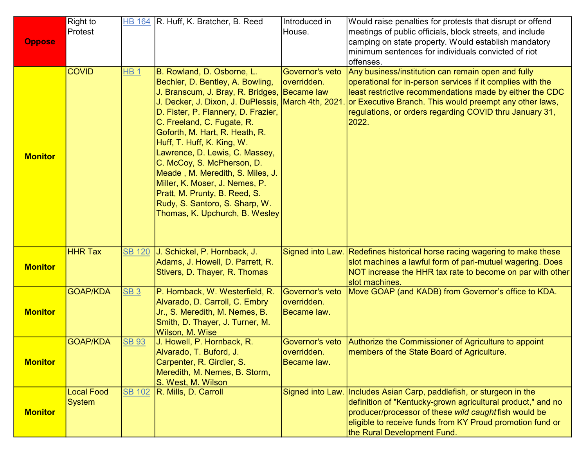|                | <b>Right to</b><br>Protest |                 | HB 164 R. Huff, K. Bratcher, B. Reed                                                               | Introduced in<br>House.        | Would raise penalties for protests that disrupt or offend                                                           |
|----------------|----------------------------|-----------------|----------------------------------------------------------------------------------------------------|--------------------------------|---------------------------------------------------------------------------------------------------------------------|
| <b>Oppose</b>  |                            |                 |                                                                                                    |                                | meetings of public officials, block streets, and include<br>camping on state property. Would establish mandatory    |
|                |                            |                 |                                                                                                    |                                | minimum sentences for individuals convicted of riot                                                                 |
|                | <b>COVID</b>               | <b>HB1</b>      | B. Rowland, D. Osborne, L.                                                                         | Governor's veto                | offenses.<br>Any business/institution can remain open and fully                                                     |
|                |                            |                 | Bechler, D. Bentley, A. Bowling,                                                                   | overridden.                    | operational for in-person services if it complies with the                                                          |
|                |                            |                 | J. Branscum, J. Bray, R. Bridges, Became law<br>J. Decker, J. Dixon, J. DuPlessis, March 4th, 2021 |                                | least restrictive recommendations made by either the CDC<br>or Executive Branch. This would preempt any other laws, |
|                |                            |                 | D. Fister, P. Flannery, D. Frazier,                                                                |                                | regulations, or orders regarding COVID thru January 31,                                                             |
|                |                            |                 | C. Freeland, C. Fugate, R.                                                                         |                                | 2022.                                                                                                               |
|                |                            |                 | Goforth, M. Hart, R. Heath, R.<br>Huff, T. Huff, K. King, W.                                       |                                |                                                                                                                     |
| <b>Monitor</b> |                            |                 | Lawrence, D. Lewis, C. Massey,                                                                     |                                |                                                                                                                     |
|                |                            |                 | C. McCoy, S. McPherson, D.                                                                         |                                |                                                                                                                     |
|                |                            |                 | Meade, M. Meredith, S. Miles, J.<br>Miller, K. Moser, J. Nemes, P.                                 |                                |                                                                                                                     |
|                |                            |                 | Pratt, M. Prunty, B. Reed, S.                                                                      |                                |                                                                                                                     |
|                |                            |                 | Rudy, S. Santoro, S. Sharp, W.                                                                     |                                |                                                                                                                     |
|                |                            |                 | Thomas, K. Upchurch, B. Wesley                                                                     |                                |                                                                                                                     |
|                |                            |                 |                                                                                                    |                                |                                                                                                                     |
|                | <b>HHR Tax</b>             | <b>SB 120</b>   | J. Schickel, P. Hornback, J.                                                                       |                                | Signed into Law. Redefines historical horse racing wagering to make these                                           |
| <b>Monitor</b> |                            |                 | Adams, J. Howell, D. Parrett, R.                                                                   |                                | slot machines a lawful form of pari-mutuel wagering. Does                                                           |
|                |                            |                 | Stivers, D. Thayer, R. Thomas                                                                      |                                | NOT increase the HHR tax rate to become on par with other<br>slot machines.                                         |
|                | <b>GOAP/KDA</b>            | SB <sub>3</sub> | P. Hornback, W. Westerfield, R.                                                                    | Governor's veto                | Move GOAP (and KADB) from Governor's office to KDA.                                                                 |
| <b>Monitor</b> |                            |                 | Alvarado, D. Carroll, C. Embry<br>Jr., S. Meredith, M. Nemes, B.                                   | overridden.<br>Became law.     |                                                                                                                     |
|                |                            |                 | Smith, D. Thayer, J. Turner, M.                                                                    |                                |                                                                                                                     |
|                |                            |                 | Wilson, M. Wise                                                                                    |                                |                                                                                                                     |
|                | <b>GOAP/KDA</b>            | <b>SB 93</b>    | J. Howell, P. Hornback, R.<br>Alvarado, T. Buford, J.                                              | Governor's veto<br>overridden. | Authorize the Commissioner of Agriculture to appoint<br>members of the State Board of Agriculture.                  |
| <b>Monitor</b> |                            |                 | Carpenter, R. Girdler, S.                                                                          | Became law.                    |                                                                                                                     |
|                |                            |                 | Meredith, M. Nemes, B. Storm,                                                                      |                                |                                                                                                                     |
|                | <b>Local Food</b>          | <b>SB 102</b>   | S. West, M. Wilson<br>R. Mills, D. Carroll                                                         | Signed into Law.               | Includes Asian Carp, paddlefish, or sturgeon in the                                                                 |
|                | <b>System</b>              |                 |                                                                                                    |                                | definition of "Kentucky-grown agricultural product," and no                                                         |
| <b>Monitor</b> |                            |                 |                                                                                                    |                                | producer/processor of these wild caught fish would be                                                               |
|                |                            |                 |                                                                                                    |                                |                                                                                                                     |
|                |                            |                 |                                                                                                    |                                | eligible to receive funds from KY Proud promotion fund or<br>the Rural Development Fund.                            |